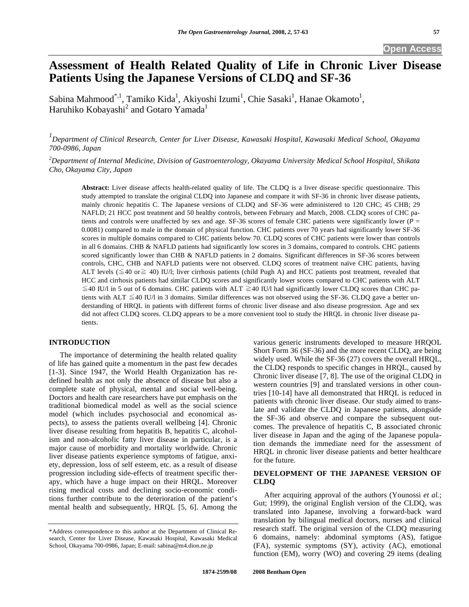# **Assessment of Health Related Quality of Life in Chronic Liver Disease Patients Using the Japanese Versions of CLDQ and SF-36**

Sabina Mahmood<sup>\*,1</sup>, Tamiko Kida<sup>1</sup>, Akiyoshi Izumi<sup>1</sup>, Chie Sasaki<sup>1</sup>, Hanae Okamoto<sup>1</sup>, Haruhiko Kobayashi<sup>2</sup> and Gotaro Yamada<sup>1</sup>

*1 Department of Clinical Research, Center for Liver Disease, Kawasaki Hospital, Kawasaki Medical School, Okayama 700-0986, Japan* 

*2 Department of Internal Medicine, Division of Gastroenterology, Okayama University Medical School Hospital, Shikata Cho, Okayama City, Japan* 

**Abstract:** Liver disease affects health-related quality of life. The CLDQ is a liver disease specific questionnaire. This study attempted to translate the original CLDQ into Japanese and compare it with SF-36 in chronic liver disease patients, mainly chronic hepatitis C. The Japanese versions of CLDQ and SF-36 were administered to 120 CHC; 45 CHB; 29 NAFLD; 21 HCC post treatment and 50 healthy controls, between February and March, 2008. CLDQ scores of CHC patients and controls were unaffected by sex and age. SF-36 scores of female CHC patients were significantly lower (*P* = 0.0081) compared to male in the domain of physical function. CHC patients over 70 years had significantly lower SF-36 scores in multiple domains compared to CHC patients below 70. CLDQ scores of CHC patients were lower than controls in all 6 domains. CHB & NAFLD patients had significantly low scores in 3 domains, compared to controls. CHC patients scored significantly lower than CHB & NAFLD patients in 2 domains. Significant differences in SF-36 scores between controls, CHC, CHB and NAFLD patients were not observed. CLDQ scores of treatment naïve CHC patients, having ALT levels ( $\leq$ 40 or $\geq$  40) IU/l; liver cirrhosis patients (child Pugh A) and HCC patients post treatment, revealed that HCC and cirrhosis patients had similar CLDQ scores and significantly lower scores compared to CHC patients with ALT  $\leq$ 40 IU/l in 5 out of 6 domains. CHC patients with ALT  $\geq$ 40 IU/l had significantly lower CLDQ scores than CHC patients with ALT  $\leq$ 40 IU/l in 3 domains. Similar differences was not observed using the SF-36. CLDQ gave a better understanding of HRQL in patients with different forms of chronic liver disease and also disease progression. Age and sex did not affect CLDQ scores. CLDQ appears to be a more convenient tool to study the HRQL in chronic liver disease patients.

# **INTRODUCTION**

 The importance of determining the health related quality of life has gained quite a momentum in the past few decades [1-3]. Since 1947, the World Health Organization has redefined health as not only the absence of disease but also a complete state of physical, mental and social well-being. Doctors and health care researchers have put emphasis on the traditional biomedical model as well as the social science model (which includes psychosocial and economical aspects), to assess the patients overall wellbeing [4]. Chronic liver disease resulting from hepatitis B, hepatitis C, alcoholism and non-alcoholic fatty liver disease in particular, is a major cause of morbidity and mortality worldwide. Chronic liver disease patients experience symptoms of fatigue, anxiety, depression, loss of self esteem, etc. as a result of disease progression including side-effects of treatment specific therapy, which have a huge impact on their HRQL. Moreover rising medical costs and declining socio-economic conditions further contribute to the deterioration of the patient's mental health and subsequently, HRQL [5, 6]. Among the various generic instruments developed to measure HRQOL Short Form 36 (SF-36) and the more recent CLDQ, are being widely used. While the SF-36 (27) covers the overall HRQL, the CLDQ responds to specific changes in HRQL, caused by Chronic liver disease [7, 8]. The use of the original CLDQ in western countries [9] and translated versions in other countries [10-14] have all demonstrated that HRQL is reduced in patients with chronic liver disease. Our study aimed to translate and validate the CLDQ in Japanese patients, alongside the SF-36 and observe and compare the subsequent outcomes. The prevalence of hepatitis C, B associated chronic liver disease in Japan and the aging of the Japanese population demands the immediate need for the assessment of HRQL in chronic liver disease patients and better healthcare for the future.

## **DEVELOPMENT OF THE JAPANESE VERSION OF CLDQ**

 After acquiring approval of the authors (Younossi *et al.*; Gut; 1999), the original English version of the CLDQ, was translated into Japanese, involving a forward-back ward translation by bilingual medical doctors, nurses and clinical research staff. The original version of the CLDQ measuring 6 domains, namely: abdominal symptoms (AS), fatigue (FA), systemic symptoms (SY), activity (AC), emotional function (EM), worry (WO) and covering 29 items (dealing

<sup>\*</sup>Address correspondence to this author at the Department of Clinical Research, Center for Liver Disease, Kawasaki Hospital, Kawasaki Medical School, Okayama 700-0986, Japan; E-mail: sabina@m4.dion.ne.jp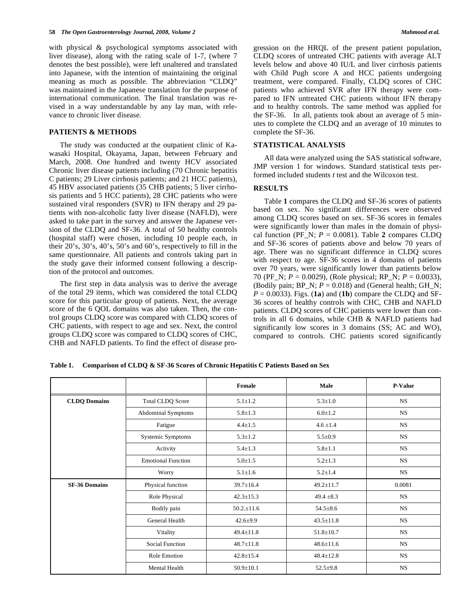with physical & psychological symptoms associated with liver disease), along with the rating scale of 1-7, (where 7 denotes the best possible), were left unaltered and translated into Japanese, with the intention of maintaining the original meaning as much as possible. The abbreviation "CLDQ" was maintained in the Japanese translation for the purpose of international communication. The final translation was revised in a way understandable by any lay man, with relevance to chronic liver disease.

#### **PATIENTS & METHODS**

 The study was conducted at the outpatient clinic of Kawasaki Hospital, Okayama, Japan, between February and March, 2008. One hundred and twenty HCV associated Chronic liver disease patients including (70 Chronic hepatitis C patients; 29 Liver cirrhosis patients; and 21 HCC patients), 45 HBV associated patients (35 CHB patients; 5 liver cirrhosis patients and 5 HCC patients), 28 CHC patients who were sustained viral responders (SVR) to IFN therapy and 29 patients with non-alcoholic fatty liver disease (NAFLD), were asked to take part in the survey and answer the Japanese version of the CLDQ and SF-36. A total of 50 healthy controls (hospital staff) were chosen, including 10 people each, in their 20's, 30's, 40's, 50's and 60's, respectively to fill in the same questionnaire. All patients and controls taking part in the study gave their informed consent following a description of the protocol and outcomes.

 The first step in data analysis was to derive the average of the total 29 items, which was considered the total CLDQ score for this particular group of patients. Next, the average score of the 6 QOL domains was also taken. Then, the control groups CLDQ score was compared with CLDQ scores of CHC patients, with respect to age and sex. Next, the control groups CLDQ score was compared to CLDQ scores of CHC, CHB and NAFLD patients. To find the effect of disease progression on the HRQL of the present patient population, CLDQ scores of untreated CHC patients with average ALT levels below and above 40 IU/L and liver cirrhosis patients with Child Pugh score A and HCC patients undergoing treatment, were compared. Finally, CLDQ scores of CHC patients who achieved SVR after IFN therapy were compared to IFN untreated CHC patients without IFN therapy and to healthy controls. The same method was applied for the SF-36. In all, patients took about an average of 5 minutes to complete the CLDQ and an average of 10 minutes to complete the SF-36.

#### **STATISTICAL ANALYSIS**

 All data were analyzed using the SAS statistical software, JMP version 1 for windows. Standard statistical tests performed included students *t* test and the Wilcoxon test.

### **RESULTS**

 Table **1** compares the CLDQ and SF-36 scores of patients based on sex. No significant differences were observed among CLDQ scores based on sex. SF-36 scores in females were significantly lower than males in the domain of physical function (PF\_N;  $P = 0.0081$ ). Table 2 compares CLDQ and SF-36 scores of patients above and below 70 years of age. There was no significant difference in CLDQ scores with respect to age. SF-36 scores in 4 domains of patients over 70 years, were significantly lower than patients below 70 (PF\_N; *P* = 0.0029), (Role physical; RP\_N; *P* = 0.0033), (Bodily pain; BP\_N;  $P = 0.018$ ) and (General health; GH\_N;  $P = 0.0033$ ). Figs. (**1a**) and (**1b**) compare the CLDQ and SF-36 scores of healthy controls with CHC, CHB and NAFLD patients. CLDQ scores of CHC patients were lower than controls in all 6 domains, while CHB & NAFLD patients had significantly low scores in 3 domains (SS; AC and WO), compared to controls. CHC patients scored significantly

**Table 1. Comparison of CLDQ & SF-36 Scores of Chronic Hepatitis C Patients Based on Sex** 

|                      |                           | Female          | Male            | <b>P-Value</b> |
|----------------------|---------------------------|-----------------|-----------------|----------------|
| <b>CLDQ Domains</b>  | <b>Total CLDQ Score</b>   | $5.1 \pm 1.2$   | $5.3 \pm 1.0$   | $_{\rm NS}$    |
|                      | <b>Abdominal Symptoms</b> | $5.8 \pm 1.3$   | $6.0 \pm 1.2$   | <b>NS</b>      |
|                      | Fatigue                   | $4.4 \pm 1.5$   | $4.6 \pm 1.4$   | <b>NS</b>      |
|                      | Systemic Symptoms         | $5.3 \pm 1.2$   | $5.5 \pm 0.9$   | <b>NS</b>      |
|                      | Activity                  | $5.4 \pm 1.3$   | $5.8 \pm 1.1$   | <b>NS</b>      |
|                      | <b>Emotional Function</b> | $5.0 \pm 1.5$   | $5.2 \pm 1.3$   | <b>NS</b>      |
|                      | Worry                     | $5.1 \pm 1.6$   | $5.2 \pm 1.4$   | <b>NS</b>      |
| <b>SF-36 Domains</b> | Physical function         | $39.7 \pm 16.4$ | $49.2 \pm 11.7$ | 0.0081         |
|                      | Role Physical             | $42.3 \pm 15.3$ | $49.4 \pm 8.3$  | <b>NS</b>      |
|                      | Bodily pain               | $50.2 \pm 11.6$ | $54.5 \pm 8.6$  | <b>NS</b>      |
|                      | General Health            | $42.6 \pm 9.9$  | $43.5 \pm 11.8$ | <b>NS</b>      |
|                      | Vitality                  | $49.4 \pm 11.8$ | $51.8 \pm 10.7$ | <b>NS</b>      |
|                      | Social Function           | $48.7 \pm 11.8$ | $48.6 \pm 11.6$ | <b>NS</b>      |
|                      | Role Emotion              | $42.8 \pm 15.4$ | $48.4 \pm 12.8$ | <b>NS</b>      |
|                      | Mental Health             | $50.9 \pm 10.1$ | $52.5 \pm 9.8$  | <b>NS</b>      |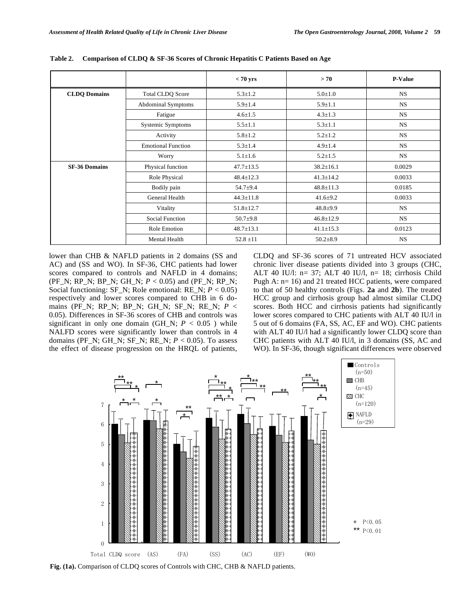|                      |                           | $< 70$ yrs      | > 70            | <b>P-Value</b> |
|----------------------|---------------------------|-----------------|-----------------|----------------|
| <b>CLDQ Domains</b>  | <b>Total CLDQ Score</b>   | $5.3 \pm 1.2$   | $5.0 \pm 1.0$   | <b>NS</b>      |
|                      | <b>Abdominal Symptoms</b> | $5.9 \pm 1.4$   | $5.9 \pm 1.1$   | NS             |
|                      | Fatigue                   | $4.6 \pm 1.5$   | $4.3 \pm 1.3$   | NS             |
|                      | Systemic Symptoms         | $5.5 \pm 1.1$   | $5.3 \pm 1.1$   | <b>NS</b>      |
|                      | Activity                  | $5.8 \pm 1.2$   | $5.2 \pm 1.2$   | <b>NS</b>      |
|                      | <b>Emotional Function</b> | $5.3 \pm 1.4$   | $4.9 \pm 1.4$   | NS             |
|                      | Worry                     | $5.1 \pm 1.6$   | $5.2 \pm 1.5$   | NS             |
| <b>SF-36 Domains</b> | Physical function         | $47.7 \pm 13.5$ | $38.2 \pm 16.1$ | 0.0029         |
|                      | Role Physical             | $48.4 \pm 12.3$ | $41.3 \pm 14.2$ | 0.0033         |
|                      | Bodily pain               | $54.7 + 9.4$    | $48.8 \pm 11.3$ | 0.0185         |
|                      | General Health            | $44.3 \pm 11.8$ | $41.6 \pm 9.2$  | 0.0033         |
|                      | Vitality                  | $51.8 \pm 12.7$ | $48.8 \pm 9.9$  | <b>NS</b>      |
|                      | Social Function           | $50.7 + 9.8$    | $46.8 \pm 12.9$ | <b>NS</b>      |
|                      | Role Emotion              | $48.7 \pm 13.1$ | $41.1 \pm 15.3$ | 0.0123         |
|                      | Mental Health             | $52.8 \pm 11$   | $50.2 \pm 8.9$  | <b>NS</b>      |

**Table 2. Comparison of CLDQ & SF-36 Scores of Chronic Hepatitis C Patients Based on Age** 

lower than CHB & NAFLD patients in 2 domains (SS and AC) and (SS and WO). In SF-36, CHC patients had lower scores compared to controls and NAFLD in 4 domains; (PF\_N; RP\_N; BP\_N; GH\_N; *P* < 0.05) and (PF\_N; RP\_N; Social functioning: SF\_N; Role emotional: RE\_N; *P* < 0.05) respectively and lower scores compared to CHB in 6 domains (PF\_N; RP\_N; BP\_N; GH\_N; SF\_N; RE\_N; *P* < 0.05). Differences in SF-36 scores of CHB and controls was significant in only one domain (GH\_N;  $P < 0.05$ ) while NALFD scores were significantly lower than controls in 4 domains (PF\_N; GH\_N; SF\_N; RE\_N; *P* < 0.05). To assess the effect of disease progression on the HRQL of patients, CLDQ and SF-36 scores of 71 untreated HCV associated chronic liver disease patients divided into 3 groups (CHC, ALT 40 IU/l: n= 37; ALT 40 IU/l, n= 18; cirrhosis Child Pugh A: n= 16) and 21 treated HCC patients, were compared to that of 50 healthy controls (Figs. **2a** and **2b**). The treated HCC group and cirrhosis group had almost similar CLDQ scores. Both HCC and cirrhosis patients had significantly lower scores compared to CHC patients with ALT 40 IU/l in 5 out of 6 domains (FA, SS, AC, EF and WO). CHC patients with ALT 40 IU/l had a significantly lower CLDQ score than CHC patients with ALT 40 IU/l, in 3 domains (SS, AC and WO). In SF-36, though significant differences were observed



**Fig. (1a).** Comparison of CLDQ scores of Controls with CHC, CHB & NAFLD patients.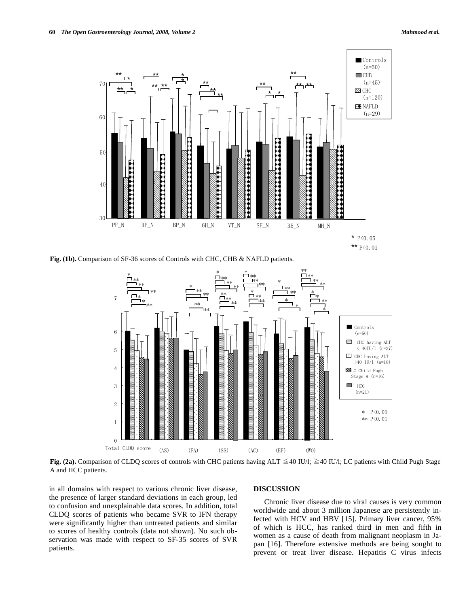

**Fig. (1b).** Comparison of SF-36 scores of Controls with CHC, CHB & NAFLD patients.



Fig. (2a). Comparison of CLDQ scores of controls with CHC patients having ALT  $\leq$ 40 IU/l;  $\geq$ 40 IU/l; LC patients with Child Pugh Stage A and HCC patients.

in all domains with respect to various chronic liver disease, the presence of larger standard deviations in each group, led to confusion and unexplainable data scores. In addition, total CLDQ scores of patients who became SVR to IFN therapy were significantly higher than untreated patients and similar to scores of healthy controls (data not shown). No such observation was made with respect to SF-35 scores of SVR patients.

#### **DISCUSSION**

 Chronic liver disease due to viral causes is very common worldwide and about 3 million Japanese are persistently infected with HCV and HBV [15]. Primary liver cancer, 95% of which is HCC, has ranked third in men and fifth in women as a cause of death from malignant neoplasm in Japan [16]. Therefore extensive methods are being sought to prevent or treat liver disease. Hepatitis C virus infects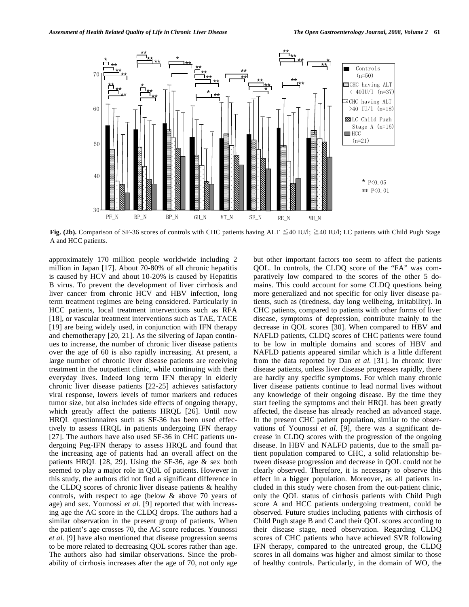

**Fig. (2b).** Comparison of SF-36 scores of controls with CHC patients having ALT  $\leq$ 40 IU/l;  $\geq$ 40 IU/l; LC patients with Child Pugh Stage A and HCC patients.

approximately 170 million people worldwide including 2 million in Japan [17]. About 70-80% of all chronic hepatitis is caused by HCV and about 10-20% is caused by Hepatitis B virus. To prevent the development of liver cirrhosis and liver cancer from chronic HCV and HBV infection, long term treatment regimes are being considered. Particularly in HCC patients, local treatment interventions such as RFA [18], or vascular treatment interventions such as TAE, TACE [19] are being widely used, in conjunction with IFN therapy and chemotherapy [20, 21]. As the silvering of Japan continues to increase, the number of chronic liver disease patients over the age of 60 is also rapidly increasing. At present, a large number of chronic liver disease patients are receiving treatment in the outpatient clinic, while continuing with their everyday lives. Indeed long term IFN therapy in elderly chronic liver disease patients [22-25] achieves satisfactory viral response, lowers levels of tumor markers and reduces tumor size, but also includes side effects of ongoing therapy, which greatly affect the patients HRQL [26]. Until now HRQL questionnaires such as SF-36 has been used effectively to assess HRQL in patients undergoing IFN therapy [27]. The authors have also used SF-36 in CHC patients undergoing Peg-IFN therapy to assess HRQL and found that the increasing age of patients had an overall affect on the patients HRQL [28, 29]. Using the SF-36, age & sex both seemed to play a major role in QOL of patients. However in this study, the authors did not find a significant difference in the CLDQ scores of chronic liver disease patients & healthy controls, with respect to age (below & above 70 years of age) and sex. Younossi *et al.* [9] reported that with increasing age the AC score in the CLDQ drops. The authors had a similar observation in the present group of patients. When the patient's age crosses 70, the AC score reduces. Younossi *et al.* [9] have also mentioned that disease progression seems to be more related to decreasing QOL scores rather than age. The authors also had similar observations. Since the probability of cirrhosis increases after the age of 70, not only age

but other important factors too seem to affect the patients QOL. In controls, the CLDQ score of the "FA" was comparatively low compared to the scores of the other 5 domains. This could account for some CLDQ questions being more generalized and not specific for only liver disease patients, such as (tiredness, day long wellbeing, irritability). In CHC patients, compared to patients with other forms of liver disease, symptoms of depression, contribute mainly to the decrease in QOL scores [30]. When compared to HBV and NAFLD patients, CLDQ scores of CHC patients were found to be low in multiple domains and scores of HBV and NAFLD patients appeared similar which is a little different from the data reported by Dan *et al.* [31]. In chronic liver disease patients, unless liver disease progresses rapidly, there are hardly any specific symptoms. For which many chronic liver disease patients continue to lead normal lives without any knowledge of their ongoing disease. By the time they start feeling the symptoms and their HRQL has been greatly affected, the disease has already reached an advanced stage. In the present CHC patient population, similar to the observations of Younossi *et al.* [9], there was a significant decrease in CLDQ scores with the progression of the ongoing disease. In HBV and NALFD patients, due to the small patient population compared to CHC, a solid relationship between disease progression and decrease in QOL could not be clearly observed. Therefore, it is necessary to observe this effect in a bigger population. Moreover, as all patients included in this study were chosen from the out-patient clinic, only the QOL status of cirrhosis patients with Child Pugh score A and HCC patients undergoing treatment, could be observed. Future studies including patients with cirrhosis of Child Pugh stage B and C and their QOL scores according to their disease stage, need observation. Regarding CLDQ scores of CHC patients who have achieved SVR following IFN therapy, compared to the untreated group, the CLDQ scores in all domains was higher and almost similar to those of healthy controls. Particularly, in the domain of WO, the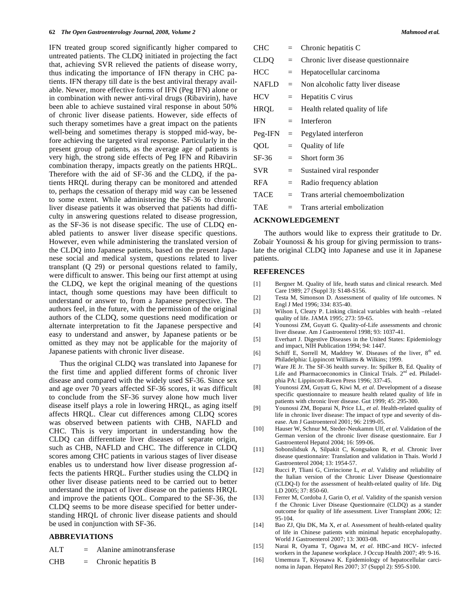IFN treated group scored significantly higher compared to untreated patients. The CLDQ initiated in projecting the fact that, achieving SVR relieved the patients of disease worry, thus indicating the importance of IFN therapy in CHC patients. IFN therapy till date is the best antiviral therapy available. Newer, more effective forms of IFN (Peg IFN) alone or in combination with newer anti-viral drugs (Ribavirin), have been able to achieve sustained viral response in about 50% of chronic liver disease patients. However, side effects of such therapy sometimes have a great impact on the patients well-being and sometimes therapy is stopped mid-way, before achieving the targeted viral response. Particularly in the present group of patients, as the average age of patients is very high, the strong side effects of Peg IFN and Ribavirin combination therapy, impacts greatly on the patients HRQL. Therefore with the aid of SF-36 and the CLDQ, if the patients HRQL during therapy can be monitored and attended to, perhaps the cessation of therapy mid way can be lessened to some extent. While administering the SF-36 to chronic liver disease patients it was observed that patients had difficulty in answering questions related to disease progression, as the SF-36 is not disease specific. The use of CLDQ enabled patients to answer liver disease specific questions. However, even while administering the translated version of the CLDQ into Japanese patients, based on the present Japanese social and medical system, questions related to liver transplant (Q 29) or personal questions related to family, were difficult to answer. This being our first attempt at using the CLDQ, we kept the original meaning of the questions intact, though some questions may have been difficult to understand or answer to, from a Japanese perspective. The authors feel, in the future, with the permission of the original authors of the CLDQ, some questions need modification or alternate interpretation to fit the Japanese perspective and easy to understand and answer, by Japanese patients or be omitted as they may not be applicable for the majority of Japanese patients with chronic liver disease.

 Thus the original CLDQ was translated into Japanese for the first time and applied different forms of chronic liver disease and compared with the widely used SF-36. Since sex and age over 70 years affected SF-36 scores, it was difficult to conclude from the SF-36 survey alone how much liver disease itself plays a role in lowering HRQL, as aging itself affects HRQL. Clear cut differences among CLDQ scores was observed between patients with CHB, NAFLD and CHC. This is very important in understanding how the CLDQ can differentiate liver diseases of separate origin, such as CHB, NAFLD and CHC. The difference in CLDQ scores among CHC patients in various stages of liver disease enables us to understand how liver disease progression affects the patients HRQL. Further studies using the CLDQ in other liver disease patients need to be carried out to better understand the impact of liver disease on the patients HRQL and improve the patients QOL. Compared to the SF-36, the CLDQ seems to be more disease specified for better understanding HRQL of chronic liver disease patients and should be used in conjunction with SF-36.

### **ABBREVIATIONS**

| Alanine aminotransferase<br><b>ALT</b> |
|----------------------------------------|
|                                        |

 $CHB =$  Chronic hepatitis B

| CHC          |     | Chronic hepatitis C                 |
|--------------|-----|-------------------------------------|
| CLDO         | $=$ | Chronic liver disease questionnaire |
| <b>HCC</b>   | $=$ | Hepatocellular carcinoma            |
| <b>NAFLD</b> | $=$ | Non alcoholic fatty liver disease   |
| <b>HCV</b>   | $=$ | Hepatitis C virus                   |
| <b>HRQL</b>  | $=$ | Health related quality of life      |
| <b>IFN</b>   | $=$ | Interferon                          |
|              |     |                                     |
| Peg-IFN      | $=$ | Pegylated interferon                |
| OOL          | $=$ | Quality of life                     |
| SF-36        | $=$ | Short form 36                       |
| SVR.         | $=$ | Sustained viral responder           |
| <b>RFA</b>   | $=$ | Radio frequency ablation            |
| TACE         | $=$ | Trans arterial chemoembolization    |

## **ACKNOWLEDGEMENT**

 The authors would like to express their gratitude to Dr. Zobair Younossi & his group for giving permission to translate the original CLDQ into Japanese and use it in Japanese patients.

#### **REFERENCES**

- [1] Bergner M. Quality of life, heath status and clinical research. Med Care 1989; 27 (Suppl 3): S148-S156.
- [2] Testa M, Simonson D. Assessment of quality of life outcomes. N Engl J Med 1996; 334: 835-40.
- [3] Wilson I, Cleary P. Linking clinical variables with health –related quality of life. JAMA 1995; 273: 59-65.
- [4] Younossi ZM, Guyatt G. Quality-of-Life assessments and chronic liver disease. Am J Gastroenterol 1998; 93: 1037-41.
- [5] Everhart J. Digestive Diseases in the United States: Epidemiology and impact, NIH Publication 1994; 94: 1447.
- [6] Schiff E, Sorrell M, Maddrey W. Diseases of the liver,  $8<sup>th</sup>$  ed. Philadelphia: Lippincott Williams & Wilkins; 1999.
- [7] Ware JE Jr. The SF-36 health survey. In: Spilker B, Ed. Quality of Life and Pharmacoeconomics in Clinical Trials.  $2<sup>nd</sup>$  ed. Philadelphia PA: Lippincott-Raven Press 1996; 337-45.
- [8] Younossi ZM, Guyatt G, Kiwi M, *et al*. Development of a disease specific questionnaire to measure health related quality of life in patients with chronic liver disease. Gut 1999; 45: 295-300.
- [9] Younossi ZM, Boparai N, Price LL, *et al*. Health-related quality of life in chronic liver disease: The impact of type and severity of disease. Am J Gastroenterol 2001; 96: 2199-05.
- [10] Hauser W, Schnur M, Steder-Neukamm Ulf, *et al*. Validation of the German version of the chronic liver disease questionnaire. Eur J Gastroenterol Hepatol 2004; 16: 599-06.
- [11] Sobonslidsuk A, Silpakit C, Kongsakon R, *et al*. Chronic liver disease questionnaire: Translation and validation in Thais. World J Gastroenterol 2004; 13: 1954-57.
- [12] Rucci P, Tliani G, Cirrincione L, *et al*. Validity and reliability of the Italian version of the Chronic Liver Disease Questionnaire (CLDQ-I) for the assessment of health-related quality of life. Dig LD 2005; 37: 850-60.
- [13] Ferrer M, Cordoba J, Garin O, *et al*. Validity of the spanish version f the Chronic Liver Disease Questionnaire (CLDQ) as a stander outcome for quality of life assessment. Liver Transplant 2006; 12: 95-104.
- [14] Bao ZJ, Qiu DK, Ma X, *et al*. Assessment of health-related quality of life in Chinese patients with minimal hepatic encephalopathy. World J Gastroenterol 2007; 13: 3003-08.
- [15] Narai R, Oyama T, Ogawa M, *et al*. HBC-and HCV- infected workers in the Japanese workplace. J Occup Health 2007; 49: 9-16.
- [16] Umemura T, Kiyosawa K. Epidemiology of hepatocellular carcinoma in Japan. Hepatol Res 2007; 37 (Suppl 2): S95-S100.